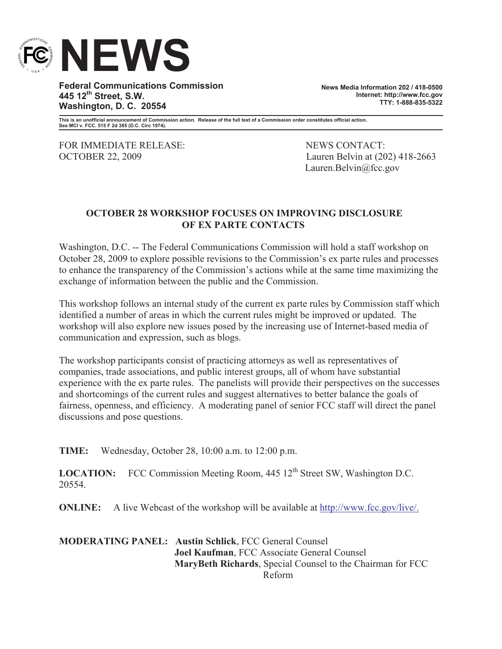

**Federal Communications Commission 445 12th Street, S.W. Washington, D. C. 20554**

**News Media Information 202 / 418-0500 Internet: http://www.fcc.gov TTY: 1-888-835-5322**

**This is an unofficial announcement of Commission action. Release of the full text of a Commission order constitutes official action. See MCI v. FCC. 515 F 2d 385 (D.C. Circ 1974).**

FOR IMMEDIATE RELEASE: NEWS CONTACT:

OCTOBER 22, 2009 Lauren Belvin at (202) 418-2663 Lauren.Belvin@fcc.gov

## **OCTOBER 28 WORKSHOP FOCUSES ON IMPROVING DISCLOSURE OF EX PARTE CONTACTS**

Washington, D.C. -- The Federal Communications Commission will hold a staff workshop on October 28, 2009 to explore possible revisions to the Commission's ex parte rules and processes to enhance the transparency of the Commission's actions while at the same time maximizing the exchange of information between the public and the Commission.

This workshop follows an internal study of the current ex parte rules by Commission staff which identified a number of areas in which the current rules might be improved or updated. The workshop will also explore new issues posed by the increasing use of Internet-based media of communication and expression, such as blogs.

The workshop participants consist of practicing attorneys as well as representatives of companies, trade associations, and public interest groups, all of whom have substantial experience with the ex parte rules. The panelists will provide their perspectives on the successes and shortcomings of the current rules and suggest alternatives to better balance the goals of fairness, openness, and efficiency. A moderating panel of senior FCC staff will direct the panel discussions and pose questions.

**TIME:** Wednesday, October 28, 10:00 a.m. to 12:00 p.m.

LOCATION: FCC Commission Meeting Room, 445 12<sup>th</sup> Street SW, Washington D.C. 20554.

**ONLINE:** A live Webcast of the workshop will be available at http://www.fcc.gov/live/.

**MODERATING PANEL: Austin Schlick**, FCC General Counsel **Joel Kaufman**, FCC Associate General Counsel **MaryBeth Richards**, Special Counsel to the Chairman for FCC Reform